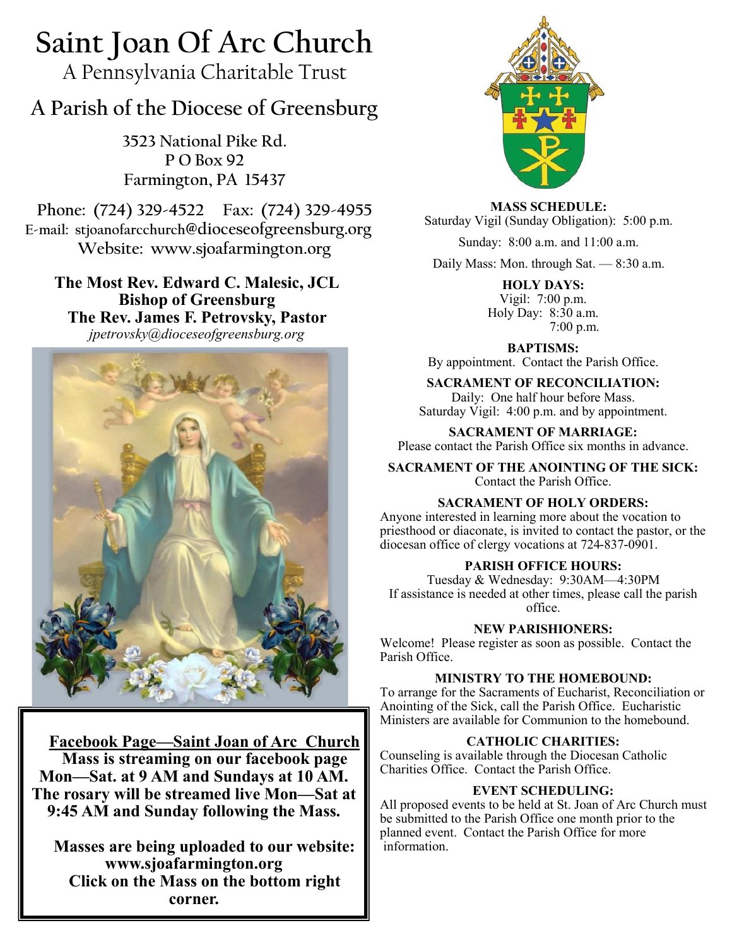# **Saint Joan Of Arc Church**

A Pennsylvania Charitable Trust

# **A Parish of the Diocese of Greensburg**

**3523 National Pike Rd. P O Box 92 Farmington, PA 15437**

**Phone: (724) 329-4522 Fax: (724) 329-4955 E-mail: stjoanofarcchurch@dioceseofgreensburg.org Website: www.sjoafarmington.org**

**The Most Rev. Edward C. Malesic, JCL Bishop of Greensburg The Rev. James F. Petrovsky, Pastor** *jpetrovsky@dioceseofgreensburg.org*



**Facebook Page—Saint Joan of Arc Church Mass is streaming on our facebook page Mon—Sat. at 9 AM and Sundays at 10 AM. The rosary will be streamed live Mon—Sat at 9:45 AM and Sunday following the Mass.**

**Masses are being uploaded to our website: www.sjoafarmington.org Click on the Mass on the bottom right corner.**



**MASS SCHEDULE:** Saturday Vigil (Sunday Obligation): 5:00 p.m.

Sunday: 8:00 a.m. and 11:00 a.m.

Daily Mass: Mon. through Sat. — 8:30 a.m.

**HOLY DAYS:** Vigil: 7:00 p.m. Holy Day: 8:30 a.m. 7:00 p.m.

**BAPTISMS:**  By appointment. Contact the Parish Office.

**SACRAMENT OF RECONCILIATION:**

Daily: One half hour before Mass. Saturday Vigil: 4:00 p.m. and by appointment.

**SACRAMENT OF MARRIAGE:**

Please contact the Parish Office six months in advance.

**SACRAMENT OF THE ANOINTING OF THE SICK:** Contact the Parish Office.

# **SACRAMENT OF HOLY ORDERS:**

Anyone interested in learning more about the vocation to priesthood or diaconate, is invited to contact the pastor, or the diocesan office of clergy vocations at 724-837-0901.

# **PARISH OFFICE HOURS:**

Tuesday & Wednesday: 9:30AM—4:30PM If assistance is needed at other times, please call the parish office.

**NEW PARISHIONERS:**

Welcome! Please register as soon as possible. Contact the Parish Office.

# **MINISTRY TO THE HOMEBOUND:**

To arrange for the Sacraments of Eucharist, Reconciliation or Anointing of the Sick, call the Parish Office. Eucharistic Ministers are available for Communion to the homebound.

# **CATHOLIC CHARITIES:**

Counseling is available through the Diocesan Catholic Charities Office. Contact the Parish Office.

# **EVENT SCHEDULING:**

All proposed events to be held at St. Joan of Arc Church must be submitted to the Parish Office one month prior to the planned event. Contact the Parish Office for more information.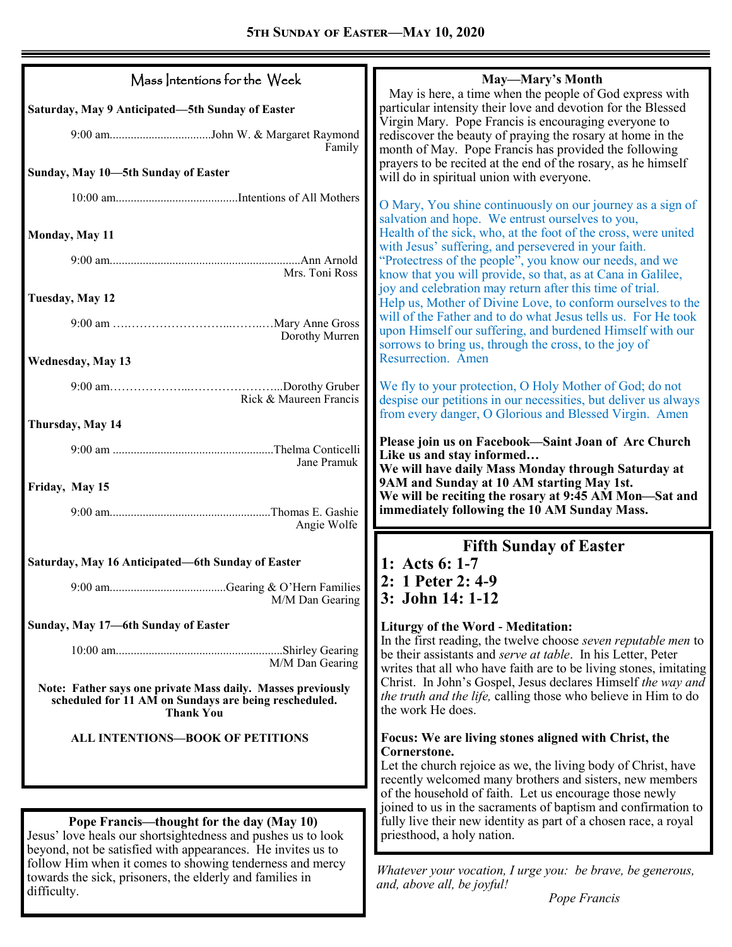| Mass Intentions for the Week                                                                                                             | May—Mary's Month<br>May is here, a time when the people of God express with                                                                                                                         |
|------------------------------------------------------------------------------------------------------------------------------------------|-----------------------------------------------------------------------------------------------------------------------------------------------------------------------------------------------------|
| Saturday, May 9 Anticipated—5th Sunday of Easter                                                                                         | particular intensity their love and devotion for the Blessed                                                                                                                                        |
| Family                                                                                                                                   | Virgin Mary. Pope Francis is encouraging everyone to<br>rediscover the beauty of praying the rosary at home in the<br>month of May. Pope Francis has provided the following                         |
| Sunday, May 10-5th Sunday of Easter                                                                                                      | prayers to be recited at the end of the rosary, as he himself<br>will do in spiritual union with everyone.                                                                                          |
|                                                                                                                                          | O Mary, You shine continuously on our journey as a sign of                                                                                                                                          |
| Monday, May 11                                                                                                                           | salvation and hope. We entrust ourselves to you,<br>Health of the sick, who, at the foot of the cross, were united<br>with Jesus' suffering, and persevered in your faith.                          |
| Mrs. Toni Ross                                                                                                                           | "Protectress of the people", you know our needs, and we<br>know that you will provide, so that, as at Cana in Galilee,<br>joy and celebration may return after this time of trial.                  |
| Tuesday, May 12                                                                                                                          | Help us, Mother of Divine Love, to conform ourselves to the                                                                                                                                         |
| Dorothy Murren                                                                                                                           | will of the Father and to do what Jesus tells us. For He took<br>upon Himself our suffering, and burdened Himself with our<br>sorrows to bring us, through the cross, to the joy of                 |
| <b>Wednesday, May 13</b>                                                                                                                 | Resurrection. Amen                                                                                                                                                                                  |
| Rick & Maureen Francis                                                                                                                   | We fly to your protection, O Holy Mother of God; do not<br>despise our petitions in our necessities, but deliver us always<br>from every danger, O Glorious and Blessed Virgin. Amen                |
| Thursday, May 14                                                                                                                         |                                                                                                                                                                                                     |
| Jane Pramuk                                                                                                                              | Please join us on Facebook-Saint Joan of Arc Church<br>Like us and stay informed<br>We will have daily Mass Monday through Saturday at                                                              |
| Friday, May 15                                                                                                                           | 9AM and Sunday at 10 AM starting May 1st.<br>We will be reciting the rosary at 9:45 AM Mon-Sat and                                                                                                  |
| Angie Wolfe                                                                                                                              | immediately following the 10 AM Sunday Mass.                                                                                                                                                        |
| Saturday, May 16 Anticipated—6th Sunday of Easter                                                                                        | <b>Fifth Sunday of Easter</b>                                                                                                                                                                       |
| M/M Dan Gearing                                                                                                                          | 1: Acts 6: 1-7<br>2: 1 Peter 2: 4-9<br>3: John 14: 1-12                                                                                                                                             |
| Sunday, May 17-6th Sunday of Easter                                                                                                      | <b>Liturgy of the Word - Meditation:</b>                                                                                                                                                            |
| Shirley Gearing<br>M/M Dan Gearing                                                                                                       | In the first reading, the twelve choose seven reputable men to<br>be their assistants and serve at table. In his Letter, Peter<br>writes that all who have faith are to be living stones, imitating |
| Note: Father says one private Mass daily. Masses previously<br>scheduled for 11 AM on Sundays are being rescheduled.<br><b>Thank You</b> | Christ. In John's Gospel, Jesus declares Himself the way and<br>the truth and the life, calling those who believe in Him to do<br>the work He does.                                                 |
| ALL INTENTIONS-BOOK OF PETITIONS                                                                                                         | Focus: We are living stones aligned with Christ, the<br>Cornerstone.<br>Let the church rejoice as we, the living body of Christ, have<br>recently welcomed many brothers and sisters, new members   |
|                                                                                                                                          | of the household of faith. Let us encourage those newly                                                                                                                                             |
| Pope Francis—thought for the day (May 10)<br>Jesus' love heals our shortsightedness and pushes us to look                                | joined to us in the sacraments of baptism and confirmation to<br>fully live their new identity as part of a chosen race, a royal<br>priesthood, a holy nation.                                      |
| beyond, not be satisfied with appearances. He invites us to<br>follow Him when it comes to showing tenderness and mercy                  | Whatever your vocation, I urge you: be brave, be generous,                                                                                                                                          |
| towards the sick, prisoners, the elderly and families in<br>difficulty.                                                                  | and, above all, be joyful!<br>Dona Evancia                                                                                                                                                          |

ı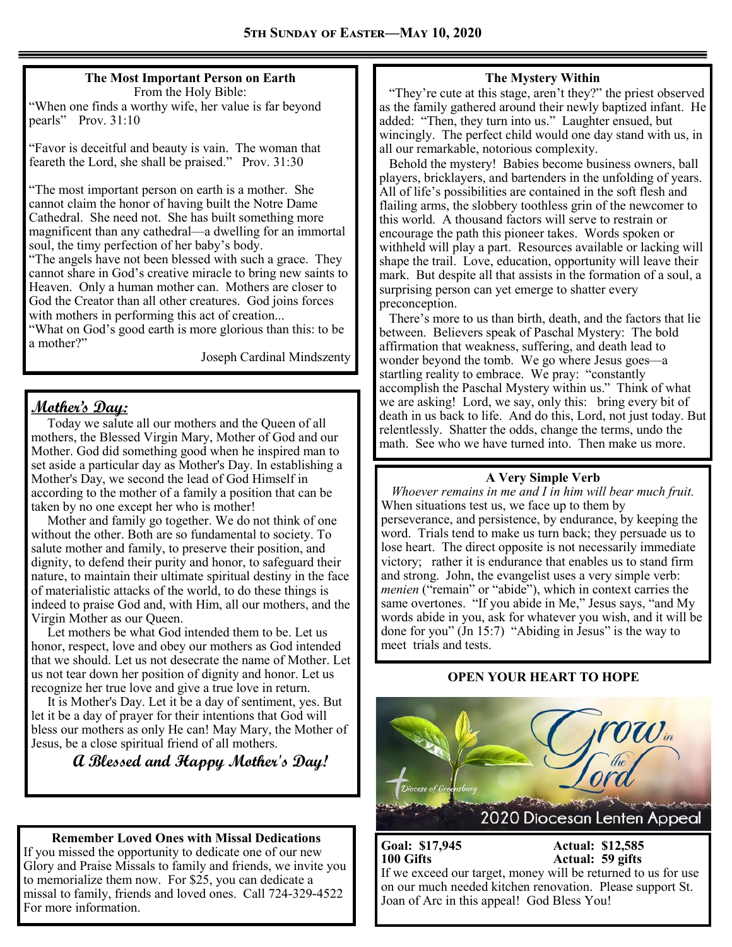#### **The Most Important Person on Earth** From the Holy Bible:

"When one finds a worthy wife, her value is far beyond pearls" Prov. 31:10

"Favor is deceitful and beauty is vain. The woman that feareth the Lord, she shall be praised." Prov. 31:30

"The most important person on earth is a mother. She cannot claim the honor of having built the Notre Dame Cathedral. She need not. She has built something more magnificent than any cathedral—a dwelling for an immortal soul, the timy perfection of her baby's body.

"The angels have not been blessed with such a grace. They cannot share in God's creative miracle to bring new saints to Heaven. Only a human mother can. Mothers are closer to God the Creator than all other creatures. God joins forces with mothers in performing this act of creation...

"What on God's good earth is more glorious than this: to be a mother?"

Joseph Cardinal Mindszenty

# **Mother's Day:**

Today we salute all our mothers and the Queen of all mothers, the Blessed Virgin Mary, Mother of God and our Mother. God did something good when he inspired man to set aside a particular day as Mother's Day. In establishing a Mother's Day, we second the lead of God Himself in according to the mother of a family a position that can be taken by no one except her who is mother!

Mother and family go together. We do not think of one without the other. Both are so fundamental to society. To salute mother and family, to preserve their position, and dignity, to defend their purity and honor, to safeguard their nature, to maintain their ultimate spiritual destiny in the face of materialistic attacks of the world, to do these things is indeed to praise God and, with Him, all our mothers, and the Virgin Mother as our Queen.

Let mothers be what God intended them to be. Let us honor, respect, love and obey our mothers as God intended that we should. Let us not desecrate the name of Mother. Let us not tear down her position of dignity and honor. Let us recognize her true love and give a true love in return.

It is Mother's Day. Let it be a day of sentiment, yes. But let it be a day of prayer for their intentions that God will bless our mothers as only He can! May Mary, the Mother of Jesus, be a close spiritual friend of all mothers.

**A Blessed and Happy Mother's Day!**

#### **Remember Loved Ones with Missal Dedications**

If you missed the opportunity to dedicate one of our new Glory and Praise Missals to family and friends, we invite you to memorialize them now. For \$25, you can dedicate a missal to family, friends and loved ones. Call 724-329-4522 For more information.

#### **The Mystery Within**

 "They're cute at this stage, aren't they?" the priest observed as the family gathered around their newly baptized infant. He added: "Then, they turn into us." Laughter ensued, but wincingly. The perfect child would one day stand with us, in all our remarkable, notorious complexity.

 Behold the mystery! Babies become business owners, ball players, bricklayers, and bartenders in the unfolding of years. All of life's possibilities are contained in the soft flesh and flailing arms, the slobbery toothless grin of the newcomer to this world. A thousand factors will serve to restrain or encourage the path this pioneer takes. Words spoken or withheld will play a part. Resources available or lacking will shape the trail. Love, education, opportunity will leave their mark. But despite all that assists in the formation of a soul, a surprising person can yet emerge to shatter every preconception.

 There's more to us than birth, death, and the factors that lie between. Believers speak of Paschal Mystery: The bold affirmation that weakness, suffering, and death lead to wonder beyond the tomb. We go where Jesus goes—a startling reality to embrace. We pray: "constantly accomplish the Paschal Mystery within us." Think of what we are asking! Lord, we say, only this: bring every bit of death in us back to life. And do this, Lord, not just today. But relentlessly. Shatter the odds, change the terms, undo the math. See who we have turned into. Then make us more.

#### **A Very Simple Verb**

*Whoever remains in me and I in him will bear much fruit.*  When situations test us, we face up to them by perseverance, and persistence, by endurance, by keeping the word. Trials tend to make us turn back; they persuade us to lose heart. The direct opposite is not necessarily immediate victory; rather it is endurance that enables us to stand firm and strong. John, the evangelist uses a very simple verb: *menien* ("remain" or "abide"), which in context carries the same overtones. "If you abide in Me," Jesus says, "and My words abide in you, ask for whatever you wish, and it will be done for you" (Jn 15:7) "Abiding in Jesus" is the way to meet trials and tests.

#### **OPEN YOUR HEART TO HOPE**



**Goal: \$17,945 Actual: \$12,585 100 Gifts Actual: 59 gifts** If we exceed our target, money will be returned to us for use on our much needed kitchen renovation. Please support St. Joan of Arc in this appeal! God Bless You!